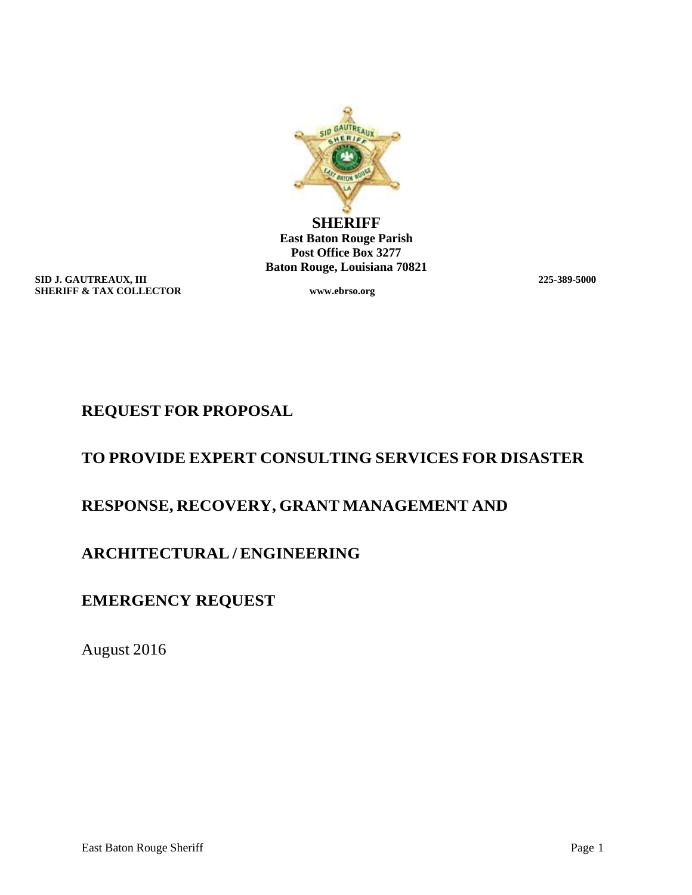

**SHERIFF East Baton Rouge Parish Post Office Box 3277 Baton Rouge, Louisiana 70821**

**SID J. GAUTREAUX, III** 225-389-5000<br> **SHERIFF & TAX COLLECTOR** WWW.ebrso.org **SHERIFF & TAX COLLECTOR** 

# **REQUEST FOR PROPOSAL**

# **TO PROVIDE EXPERT CONSULTING SERVICES FOR DISASTER**

# **RESPONSE, RECOVERY, GRANT MANAGEMENT AND**

# **ARCHITECTURAL / ENGINEERING**

# **EMERGENCY REQUEST**

August 2016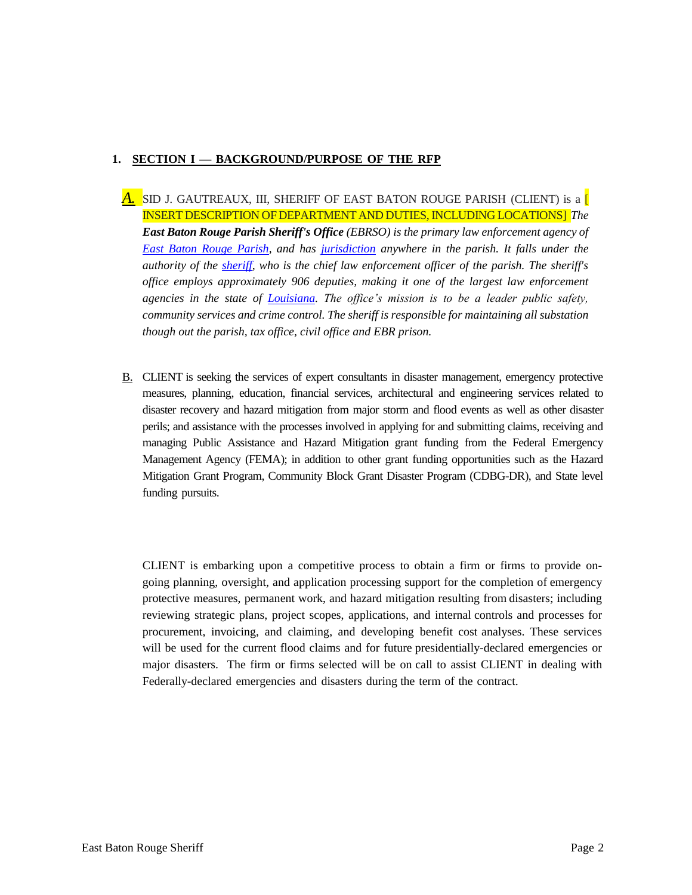# **1. SECTION I — BACKGROUND/PURPOSE OF THE RFP**

- *A.* SID J. GAUTREAUX, III, SHERIFF OF EAST BATON ROUGE PARISH (CLIENT) is a [ INSERT DESCRIPTION OF DEPARTMENT AND DUTIES, INCLUDING LOCATIONS] *The East Baton Rouge Parish Sheriff's Office (EBRSO) is the primary law enforcement agency of [East Baton Rouge Parish,](https://en.wikipedia.org/wiki/East_Baton_Rouge_Parish) and has [jurisdiction](https://en.wikipedia.org/wiki/Jurisdiction) anywhere in the parish. It falls under the authority of the [sheriff,](https://en.wikipedia.org/wiki/Sheriff) who is the chief law enforcement officer of the parish. The sheriff's office employs approximately 906 deputies, making it one of the largest law enforcement agencies in the state of [Louisiana.](https://en.wikipedia.org/wiki/Louisiana) The office's mission is to be a leader public safety, community services and crime control. The sheriff is responsible for maintaining all substation though out the parish, tax office, civil office and EBR prison.*
- B. CLIENT is seeking the services of expert consultants in disaster management, emergency protective measures, planning, education, financial services, architectural and engineering services related to disaster recovery and hazard mitigation from major storm and flood events as well as other disaster perils; and assistance with the processes involved in applying for and submitting claims, receiving and managing Public Assistance and Hazard Mitigation grant funding from the Federal Emergency Management Agency (FEMA); in addition to other grant funding opportunities such as the Hazard Mitigation Grant Program, Community Block Grant Disaster Program (CDBG-DR), and State level funding pursuits.

CLIENT is embarking upon a competitive process to obtain a firm or firms to provide ongoing planning, oversight, and application processing support for the completion of emergency protective measures, permanent work, and hazard mitigation resulting from disasters; including reviewing strategic plans, project scopes, applications, and internal controls and processes for procurement, invoicing, and claiming, and developing benefit cost analyses. These services will be used for the current flood claims and for future presidentially-declared emergencies or major disasters. The firm or firms selected will be on call to assist CLIENT in dealing with Federally-declared emergencies and disasters during the term of the contract.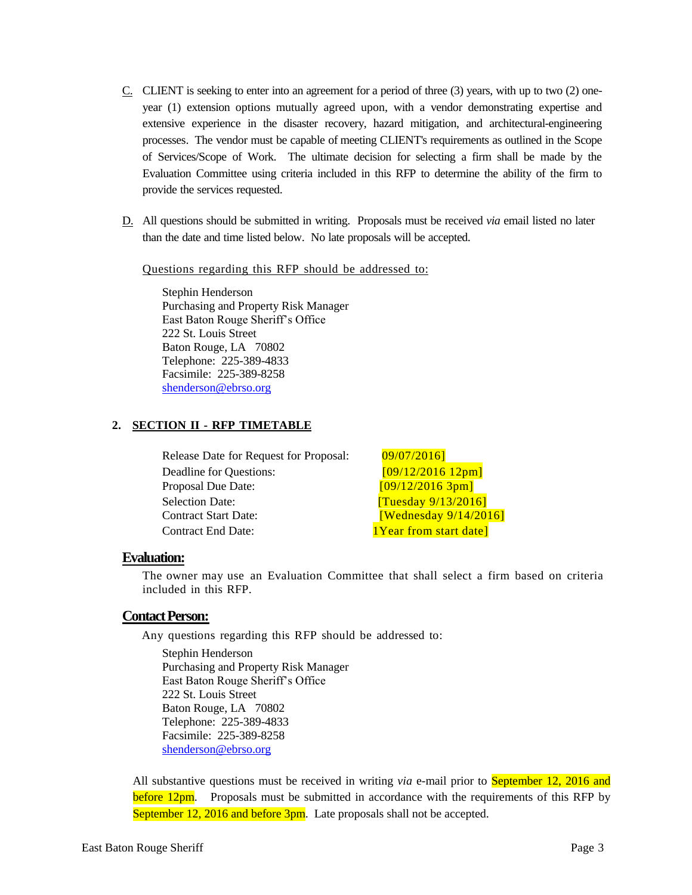- $C<sub>1</sub>$  CLIENT is seeking to enter into an agreement for a period of three (3) years, with up to two (2) oneyear (1) extension options mutually agreed upon, with a vendor demonstrating expertise and extensive experience in the disaster recovery, hazard mitigation, and architectural-engineering processes. The vendor must be capable of meeting CLIENT's requirements as outlined in the Scope of Services/Scope of Work. The ultimate decision for selecting a firm shall be made by the Evaluation Committee using criteria included in this RFP to determine the ability of the firm to provide the services requested.
- D. All questions should be submitted in writing. Proposals must be received *via* email listed no later than the date and time listed below. No late proposals will be accepted.

Questions regarding this RFP should be addressed to:

Stephin Henderson Purchasing and Property Risk Manager East Baton Rouge Sheriff's Office 222 St. Louis Street Baton Rouge, LA 70802 Telephone: 225-389-4833 Facsimile: 225-389-8258 [shenderson@ebrso.org](mailto:shenderson@ebrso.org)

#### **2. SECTION II - RFP TIMETABLE**

Release Date for Request for Proposal: 09/07/2016] Deadline for Questions: [09/12/2016 12pm] Proposal Due Date:  $[09/12/20163$ pm] Selection Date: **[Tuesday 9/13/2016]** Contract Start Date: **[Wednesday 9/14/2016]** Contract End Date: 1Year from start date

#### **Evaluation:**

The owner may use an Evaluation Committee that shall select a firm based on criteria included in this RFP.

#### **Contact Person:**

Any questions regarding this RFP should be addressed to:

Stephin Henderson Purchasing and Property Risk Manager East Baton Rouge Sheriff's Office 222 St. Louis Street Baton Rouge, LA 70802 Telephone: 225-389-4833 Facsimile: 225-389-8258 [shenderson@ebrso.org](mailto:shenderson@ebrso.org)

All substantive questions must be received in writing *via* e-mail prior to September 12, 2016 and before 12pm. Proposals must be submitted in accordance with the requirements of this RFP by September 12, 2016 and before 3pm. Late proposals shall not be accepted.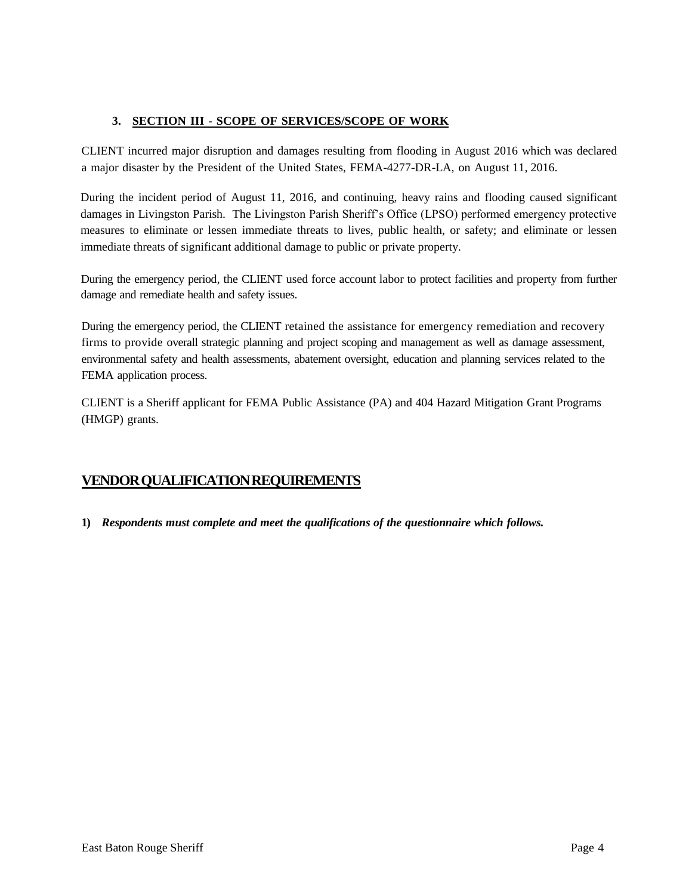# **3. SECTION III - SCOPE OF SERVICES/SCOPE OF WORK**

CLIENT incurred major disruption and damages resulting from flooding in August 2016 which was declared a major disaster by the President of the United States, FEMA-4277-DR-LA, on August 11, 2016.

During the incident period of August 11, 2016, and continuing, heavy rains and flooding caused significant damages in Livingston Parish. The Livingston Parish Sheriff's Office (LPSO) performed emergency protective measures to eliminate or lessen immediate threats to lives, public health, or safety; and eliminate or lessen immediate threats of significant additional damage to public or private property.

During the emergency period, the CLIENT used force account labor to protect facilities and property from further damage and remediate health and safety issues.

During the emergency period, the CLIENT retained the assistance for emergency remediation and recovery firms to provide overall strategic planning and project scoping and management as well as damage assessment, environmental safety and health assessments, abatement oversight, education and planning services related to the FEMA application process.

CLIENT is a Sheriff applicant for FEMA Public Assistance (PA) and 404 Hazard Mitigation Grant Programs (HMGP) grants.

# **VENDORQUALIFICATIONREQUIREMENTS**

**1)** *Respondents must complete and meet the qualifications of the questionnaire which follows.*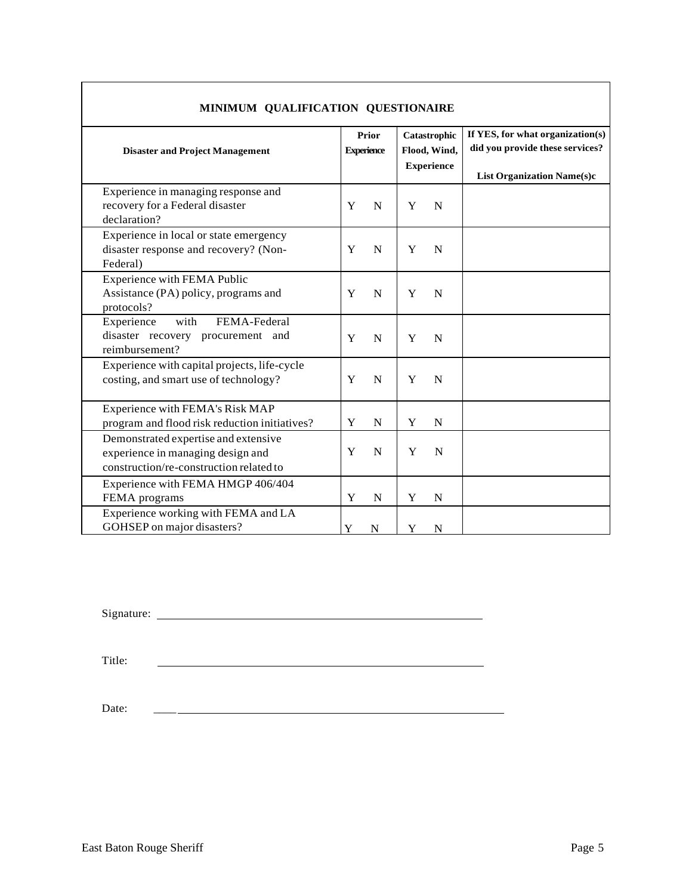| MINIMUM QUALIFICATION QUESTIONAIRE                                                                                   |   |             |                                                   |                                                                                                          |  |
|----------------------------------------------------------------------------------------------------------------------|---|-------------|---------------------------------------------------|----------------------------------------------------------------------------------------------------------|--|
| Prior<br><b>Experience</b><br><b>Disaster and Project Management</b>                                                 |   |             | Catastrophic<br>Flood, Wind,<br><b>Experience</b> | If YES, for what organization(s)<br>did you provide these services?<br><b>List Organization Name(s)c</b> |  |
| Experience in managing response and<br>recovery for a Federal disaster<br>declaration?                               | Y | $\mathbf N$ | Y                                                 | N                                                                                                        |  |
| Experience in local or state emergency<br>disaster response and recovery? (Non-<br>Federal)                          | Y | N           | Y                                                 | N                                                                                                        |  |
| <b>Experience with FEMA Public</b><br>Assistance (PA) policy, programs and<br>protocols?                             | Y | N           | Y                                                 | N                                                                                                        |  |
| Experience<br>with<br>FEMA-Federal<br>disaster recovery procurement and<br>reimbursement?                            | Y | N           | Y                                                 | N                                                                                                        |  |
| Experience with capital projects, life-cycle<br>costing, and smart use of technology?                                | Y | N           | Y                                                 | N                                                                                                        |  |
| Experience with FEMA's Risk MAP<br>program and flood risk reduction initiatives?                                     | Y | N           | Y                                                 | N                                                                                                        |  |
| Demonstrated expertise and extensive<br>experience in managing design and<br>construction/re-construction related to | Y | $\mathbf N$ | Y                                                 | N                                                                                                        |  |
| Experience with FEMA HMGP 406/404<br>FEMA programs                                                                   | Y | $\mathbf N$ | Y                                                 | N                                                                                                        |  |
| Experience working with FEMA and LA<br>GOHSEP on major disasters?                                                    | Y | ${\bf N}$   | Y                                                 | N                                                                                                        |  |

# **MINIMUM QUALIFICATION QUESTIONAIRE**

Signature:

Title:

Date: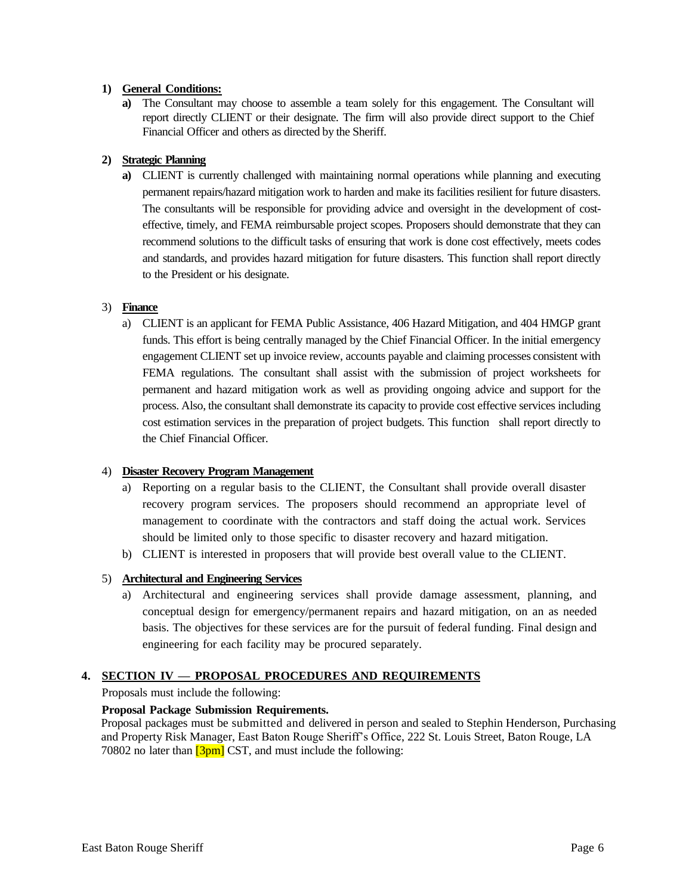### **1) General Conditions:**

**a)** The Consultant may choose to assemble a team solely for this engagement. The Consultant will report directly CLIENT or their designate. The firm will also provide direct support to the Chief Financial Officer and others as directed by the Sheriff.

### **2) Strategic Planning**

**a**) CLIENT is currently challenged with maintaining normal operations while planning and executing permanent repairs/hazard mitigation work to harden and make its facilities resilient for future disasters. The consultants will be responsible for providing advice and oversight in the development of costeffective, timely, and FEMA reimbursable project scopes. Proposers should demonstrate that they can recommend solutions to the difficult tasks of ensuring that work is done cost effectively, meets codes and standards, and provides hazard mitigation for future disasters. This function shall report directly to the President or his designate.

#### 3) **Finance**

a) CLIENT is an applicant for FEMA Public Assistance, 406 Hazard Mitigation, and 404 HMGP grant funds. This effort is being centrally managed by the Chief Financial Officer. In the initial emergency engagement CLIENT set up invoice review, accounts payable and claiming processes consistent with FEMA regulations. The consultant shall assist with the submission of project worksheets for permanent and hazard mitigation work as well as providing ongoing advice and support for the process. Also, the consultant shall demonstrate its capacity to provide cost effective services including cost estimation services in the preparation of project budgets. This function shall report directly to the Chief Financial Officer.

#### 4) **Disaster Recovery Program Management**

- a) Reporting on a regular basis to the CLIENT, the Consultant shall provide overall disaster recovery program services. The proposers should recommend an appropriate level of management to coordinate with the contractors and staff doing the actual work. Services should be limited only to those specific to disaster recovery and hazard mitigation.
- b) CLIENT is interested in proposers that will provide best overall value to the CLIENT.

#### 5) **Architectural and Engineering Services**

a) Architectural and engineering services shall provide damage assessment, planning, and conceptual design for emergency/permanent repairs and hazard mitigation, on an as needed basis. The objectives for these services are for the pursuit of federal funding. Final design and engineering for each facility may be procured separately.

## **4. SECTION IV — PROPOSAL PROCEDURES AND REQUIREMENTS**

Proposals must include the following:

#### **Proposal Package Submission Requirements.**

Proposal packages must be submitted and delivered in person and sealed to Stephin Henderson, Purchasing and Property Risk Manager, East Baton Rouge Sheriff's Office, 222 St. Louis Street, Baton Rouge, LA 70802 no later than  $[3pm]$  CST, and must include the following: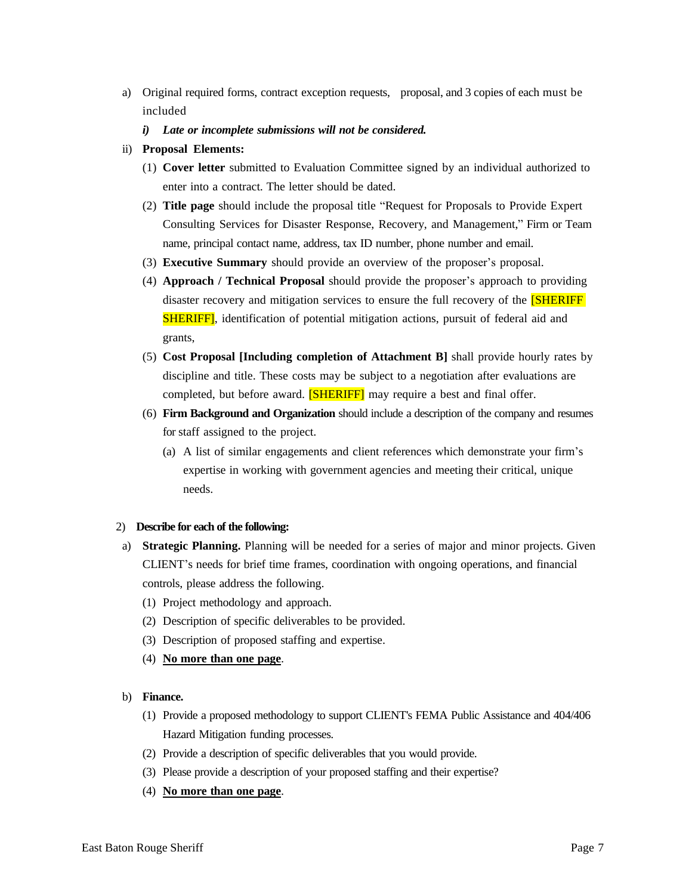- a) Original required forms, contract exception requests, proposal, and 3 copies of each must be included
	- *i) Late or incomplete submissions will not be considered.*
- ii) **Proposal Elements:**
	- (1) **Cover letter** submitted to Evaluation Committee signed by an individual authorized to enter into a contract. The letter should be dated.
	- (2) **Title page** should include the proposal title "Request for Proposals to Provide Expert Consulting Services for Disaster Response, Recovery, and Management," Firm or Team name, principal contact name, address, tax ID number, phone number and email.
	- (3) **Executive Summary** should provide an overview of the proposer's proposal.
	- (4) **Approach / Technical Proposal** should provide the proposer's approach to providing disaster recovery and mitigation services to ensure the full recovery of the [SHERIFF SHERIFF], identification of potential mitigation actions, pursuit of federal aid and grants,
	- (5) **Cost Proposal [Including completion of Attachment B]** shall provide hourly rates by discipline and title. These costs may be subject to a negotiation after evaluations are completed, but before award. **[SHERIFF]** may require a best and final offer.
	- (6) **Firm Background and Organization** should include a description of the company and resumes for staff assigned to the project.
		- (a) A list of similar engagements and client references which demonstrate your firm's expertise in working with government agencies and meeting their critical, unique needs.

#### 2) **Describe for each of the following:**

- a) **Strategic Planning.** Planning will be needed for a series of major and minor projects. Given CLIENT's needs for brief time frames, coordination with ongoing operations, and financial controls, please address the following.
	- (1) Project methodology and approach.
	- (2) Description of specific deliverables to be provided.
	- (3) Description of proposed staffing and expertise.
	- (4) **No more than one page**.

#### b) **Finance.**

- (1) Provide a proposed methodology to support CLIENT's FEMA Public Assistance and 404/406 Hazard Mitigation funding processes.
- (2) Provide a description of specific deliverables that you would provide.
- (3) Please provide a description of your proposed staffing and their expertise?
- (4) **No more than one page**.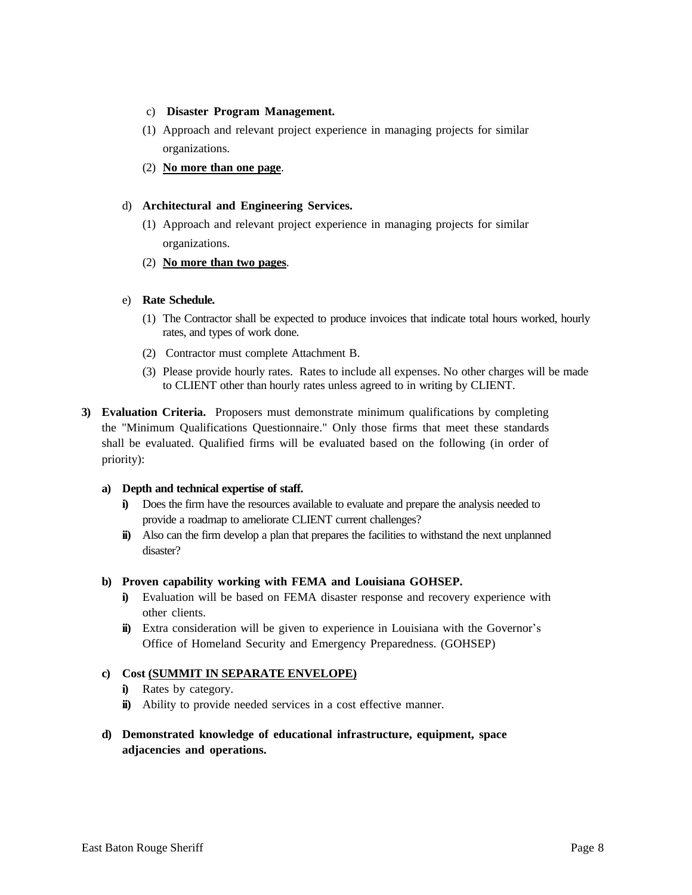- c) **Disaster Program Management.**
- (1) Approach and relevant project experience in managing projects for similar organizations.
- (2) **No more than one page**.

## d) **Architectural and Engineering Services.**

- (1) Approach and relevant project experience in managing projects for similar organizations.
- (2) **No more than two pages**.

# e) **Rate Schedule.**

- (1) The Contractor shall be expected to produce invoices that indicate total hours worked, hourly rates, and types of work done.
- (2) Contractor must complete Attachment B.
- (3) Please provide hourly rates. Rates to include all expenses. No other charges will be made to CLIENT other than hourly rates unless agreed to in writing by CLIENT.
- **3) Evaluation Criteria.** Proposers must demonstrate minimum qualifications by completing the "Minimum Qualifications Questionnaire." Only those firms that meet these standards shall be evaluated. Qualified firms will be evaluated based on the following (in order of priority):

## **a) Depth and technical expertise of staff.**

- **i)** Does the firm have the resources available to evaluate and prepare the analysis needed to provide a roadmap to ameliorate CLIENT current challenges?
- **ii)** Also can the firm develop a plan that prepares the facilities to withstand the next unplanned disaster?

## **b) Proven capability working with FEMA and Louisiana GOHSEP.**

- **i)** Evaluation will be based on FEMA disaster response and recovery experience with other clients.
- **ii)** Extra consideration will be given to experience in Louisiana with the Governor's Office of Homeland Security and Emergency Preparedness. (GOHSEP)

# **c) Cost (SUMMIT IN SEPARATE ENVELOPE)**

- **i)** Rates by category.
- **ii**) Ability to provide needed services in a cost effective manner.
- **d) Demonstrated knowledge of educational infrastructure, equipment, space adjacencies and operations.**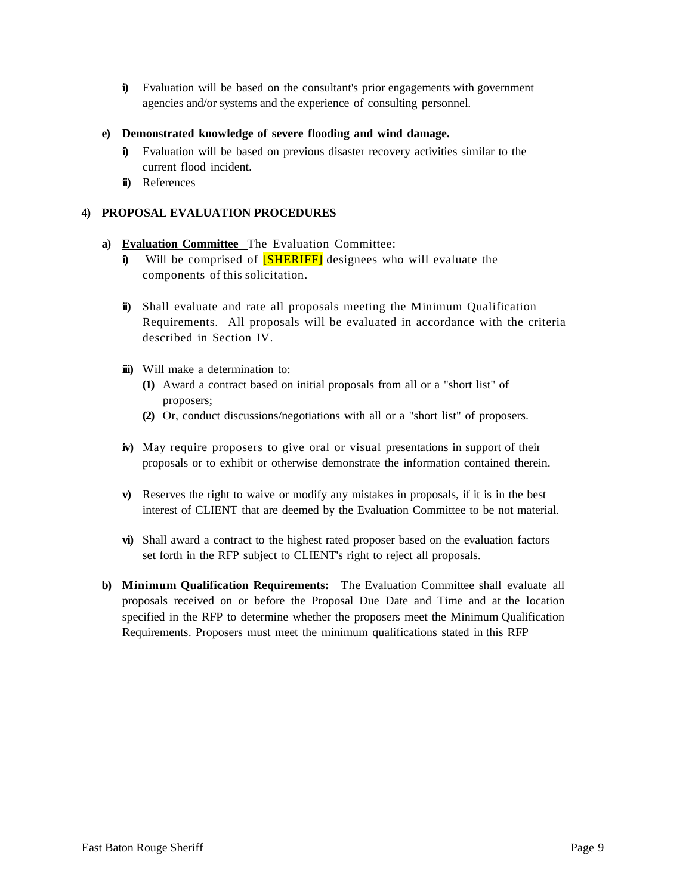**i)** Evaluation will be based on the consultant's prior engagements with government agencies and/or systems and the experience of consulting personnel.

### **e) Demonstrated knowledge of severe flooding and wind damage.**

- **i)** Evaluation will be based on previous disaster recovery activities similar to the current flood incident.
- **ii)** References

## **4) PROPOSAL EVALUATION PROCEDURES**

- **a) Evaluation Committee** The Evaluation Committee:
	- **i**) Will be comprised of **[SHERIFF]** designees who will evaluate the components of this solicitation.
	- **ii)** Shall evaluate and rate all proposals meeting the Minimum Qualification Requirements. All proposals will be evaluated in accordance with the criteria described in Section IV.
	- **iii)** Will make a determination to:
		- **(1)** Award a contract based on initial proposals from all or a "short list" of proposers;
		- **(2)** Or, conduct discussions/negotiations with all or a "short list" of proposers.
	- **iv)** May require proposers to give oral or visual presentations in support of their proposals or to exhibit or otherwise demonstrate the information contained therein.
	- **v)** Reserves the right to waive or modify any mistakes in proposals, if it is in the best interest of CLIENT that are deemed by the Evaluation Committee to be not material.
	- **vi)** Shall award a contract to the highest rated proposer based on the evaluation factors set forth in the RFP subject to CLIENT's right to reject all proposals.
- **b) Minimum Qualification Requirements:** The Evaluation Committee shall evaluate all proposals received on or before the Proposal Due Date and Time and at the location specified in the RFP to determine whether the proposers meet the Minimum Qualification Requirements. Proposers must meet the minimum qualifications stated in this RFP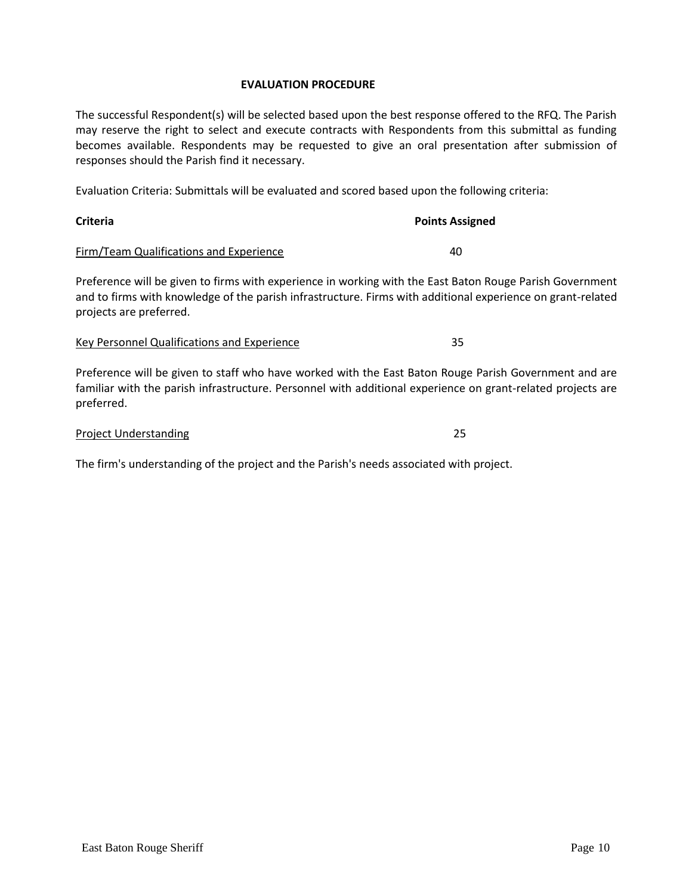#### **EVALUATION PROCEDURE**

The successful Respondent(s) will be selected based upon the best response offered to the RFQ. The Parish may reserve the right to select and execute contracts with Respondents from this submittal as funding becomes available. Respondents may be requested to give an oral presentation after submission of responses should the Parish find it necessary.

Evaluation Criteria: Submittals will be evaluated and scored based upon the following criteria:

| <b>Criteria</b>                         | <b>Points Assigned</b> |
|-----------------------------------------|------------------------|
| Firm/Team Qualifications and Experience | 40                     |

Preference will be given to firms with experience in working with the East Baton Rouge Parish Government and to firms with knowledge of the parish infrastructure. Firms with additional experience on grant-related projects are preferred.

#### Key Personnel Qualifications and Experience 35

Preference will be given to staff who have worked with the East Baton Rouge Parish Government and are familiar with the parish infrastructure. Personnel with additional experience on grant-related projects are preferred.

#### **Project Understanding 25**

The firm's understanding of the project and the Parish's needs associated with project.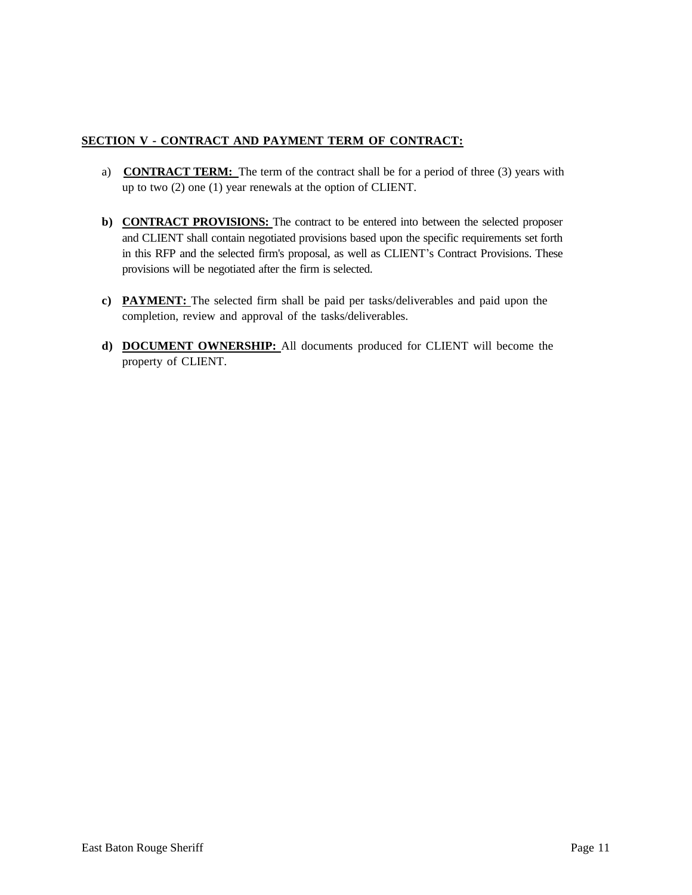# **SECTION V - CONTRACT AND PAYMENT TERM OF CONTRACT:**

- a) **CONTRACT TERM:** The term of the contract shall be for a period of three (3) years with up to two (2) one (1) year renewals at the option of CLIENT.
- **b) CONTRACT PROVISIONS:** The contract to be entered into between the selected proposer and CLIENT shall contain negotiated provisions based upon the specific requirements set forth in this RFP and the selected firm's proposal, as well as CLIENT's Contract Provisions. These provisions will be negotiated after the firm is selected.
- **c) PAYMENT:** The selected firm shall be paid per tasks/deliverables and paid upon the completion, review and approval of the tasks/deliverables.
- **d) DOCUMENT OWNERSHIP:** All documents produced for CLIENT will become the property of CLIENT.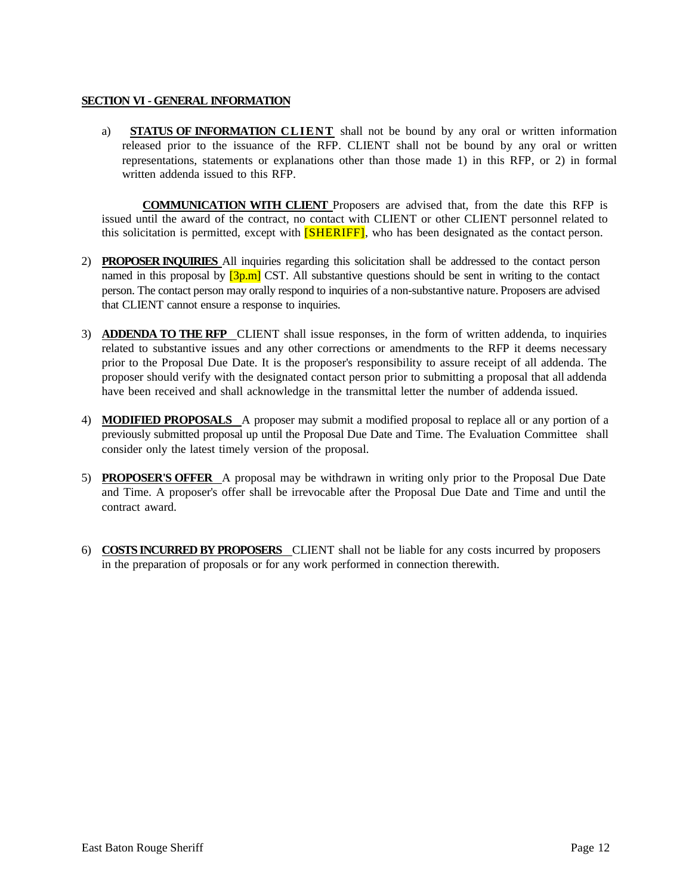#### **SECTION VI - GENERAL INFORMATION**

a) **STATUS OF INFORMATION CLIENT** shall not be bound by any oral or written information released prior to the issuance of the RFP. CLIENT shall not be bound by any oral or written representations, statements or explanations other than those made 1) in this RFP, or 2) in formal written addenda issued to this RFP.

**COMMUNICATION WITH CLIENT** Proposers are advised that, from the date this RFP is issued until the award of the contract, no contact with CLIENT or other CLIENT personnel related to this solicitation is permitted, except with **[SHERIFF]**, who has been designated as the contact person.

- 2) **PROPOSER INQUIRIES** All inquiries regarding this solicitation shall be addressed to the contact person named in this proposal by  $[3p.m]$  CST. All substantive questions should be sent in writing to the contact person. The contact person may orally respond to inquiries of a non-substantive nature. Proposers are advised that CLIENT cannot ensure a response to inquiries.
- 3) **ADDENDA TO THE RFP** CLIENT shall issue responses, in the form of written addenda, to inquiries related to substantive issues and any other corrections or amendments to the RFP it deems necessary prior to the Proposal Due Date. It is the proposer's responsibility to assure receipt of all addenda. The proposer should verify with the designated contact person prior to submitting a proposal that all addenda have been received and shall acknowledge in the transmittal letter the number of addenda issued.
- 4) **MODIFIED PROPOSALS** A proposer may submit a modified proposal to replace all or any portion of a previously submitted proposal up until the Proposal Due Date and Time. The Evaluation Committee shall consider only the latest timely version of the proposal.
- 5) **PROPOSER'S OFFER** A proposal may be withdrawn in writing only prior to the Proposal Due Date and Time. A proposer's offer shall be irrevocable after the Proposal Due Date and Time and until the contract award.
- 6) **COSTS INCURRED BY PROPOSERS** CLIENT shall not be liable for any costs incurred by proposers in the preparation of proposals or for any work performed in connection therewith.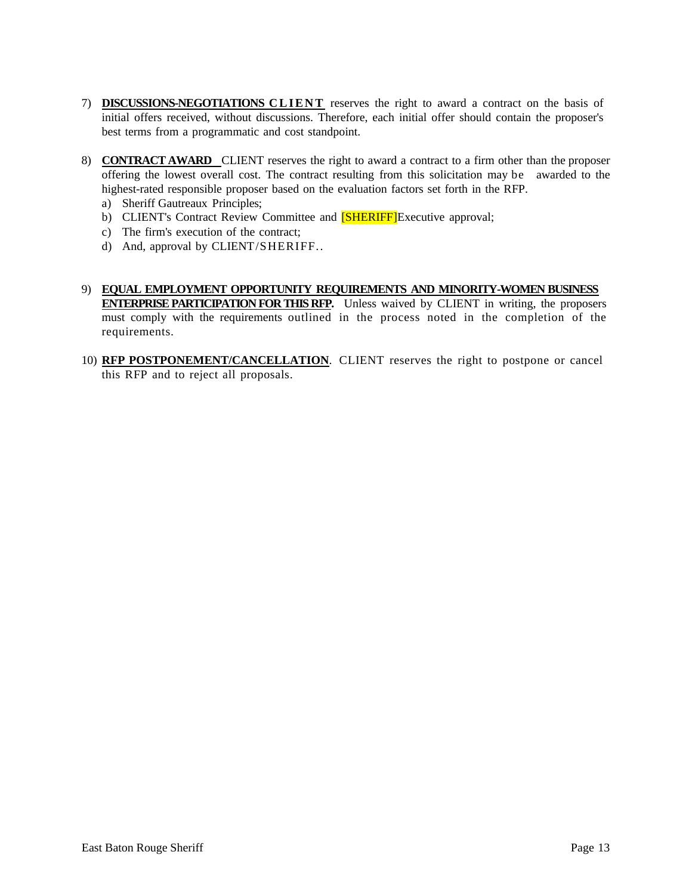- 7) **DISCUSSIONS-NEGOTIATIONS CLIENT** reserves the right to award a contract on the basis of initial offers received, without discussions. Therefore, each initial offer should contain the proposer's best terms from a programmatic and cost standpoint.
- 8) **CONTRACT AWARD** CLIENT reserves the right to award a contract to a firm other than the proposer offering the lowest overall cost. The contract resulting from this solicitation may be awarded to the highest-rated responsible proposer based on the evaluation factors set forth in the RFP.
	- a) Sheriff Gautreaux Principles;
	- b) CLIENT's Contract Review Committee and **[SHERIFF]**Executive approval;
	- c) The firm's execution of the contract;
	- d) And, approval by CLIENT/SHERIFF..
- 9) **EQUAL EMPLOYMENT OPPORTUNITY REQUIREMENTS AND MINORITY-WOMEN BUSINESS ENTERPRISE PARTICIPATION FOR THIS RFP.** Unless waived by CLIENT in writing, the proposers must comply with the requirements outlined in the process noted in the completion of the requirements.
- 10) **RFP POSTPONEMENT/CANCELLATION**. CLIENT reserves the right to postpone or cancel this RFP and to reject all proposals.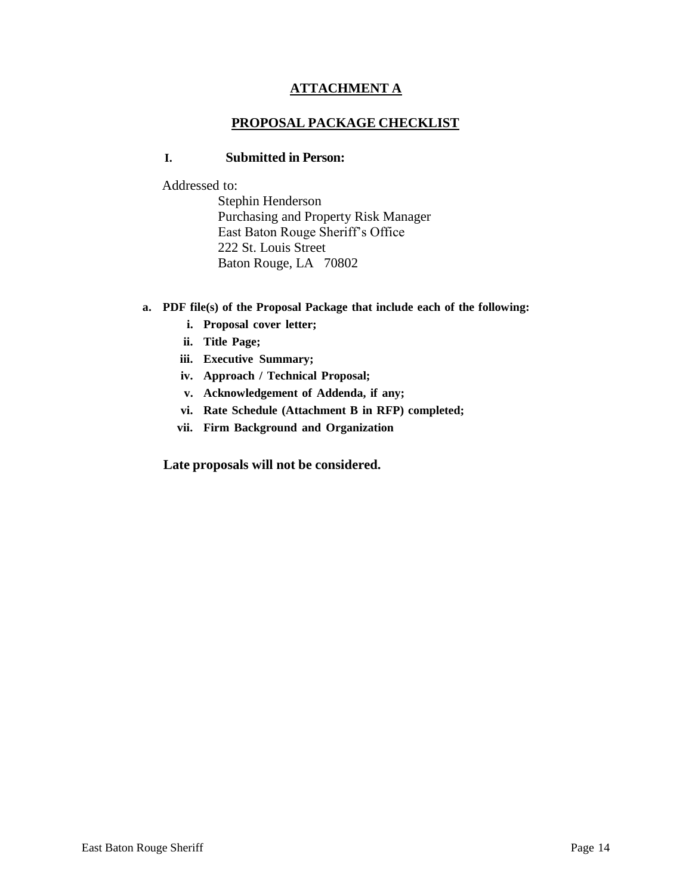# **ATTACHMENT A**

# **PROPOSAL PACKAGE CHECKLIST**

# **I. Submitted in Person:**

Addressed to:

Stephin Henderson Purchasing and Property Risk Manager East Baton Rouge Sheriff's Office 222 St. Louis Street Baton Rouge, LA 70802

- **a. PDF file(s) of the Proposal Package that include each of the following:**
	- **i. Proposal cover letter;**
	- **ii. Title Page;**
	- **iii. Executive Summary;**
	- **iv. Approach / Technical Proposal;**
	- **v. Acknowledgement of Addenda, if any;**
	- **vi. Rate Schedule (Attachment B in RFP) completed;**
	- **vii. Firm Background and Organization**

**Late proposals will not be considered.**